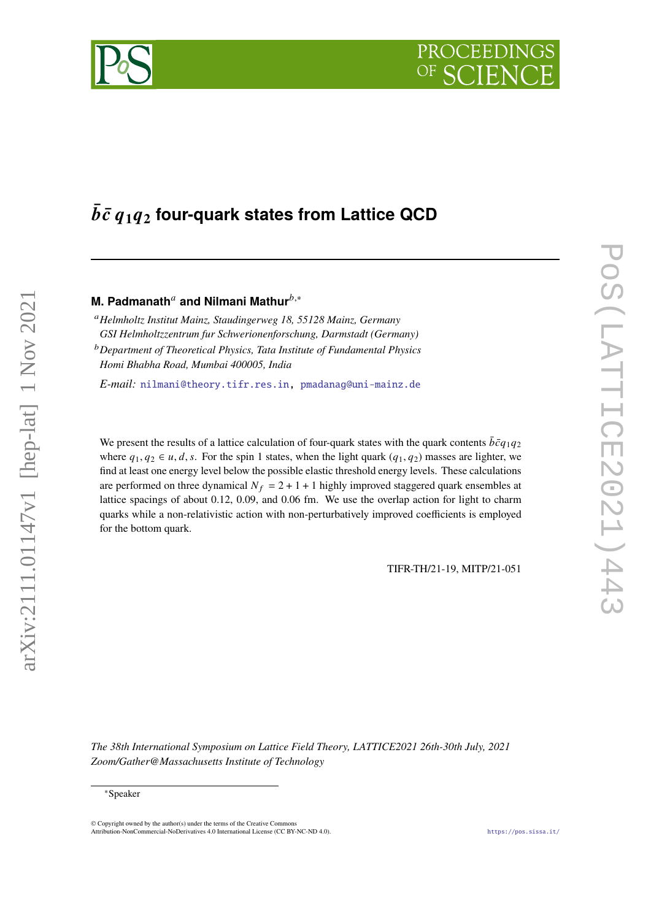# $\bar{b}\bar{c}$   $q_1q_2$  four-quark states from Lattice QCD

# **M. Padmanath<sup>a</sup> and Nilmani Mathur**<sup>b,\*</sup>

*Helmholtz Institut Mainz, Staudingerweg 18, 55128 Mainz, Germany GSI Helmholtzzentrum fur Schwerionenforschung, Darmstadt (Germany)*

*Department of Theoretical Physics, Tata Institute of Fundamental Physics Homi Bhabha Road, Mumbai 400005, India*

*E-mail:* [nilmani@theory.tifr.res.in,](mailto:nilmani@theory.tifr.res.in) [pmadanag@uni-mainz.de](mailto:pmadanag@uni-mainz.de)

We present the results of a lattice calculation of four-quark states with the quark contents  $\bar{b}\bar{c}q_1q_2$ where  $q_1, q_2 \in u, d, s$ . For the spin 1 states, when the light quark  $(q_1, q_2)$  masses are lighter, we find at least one energy level below the possible elastic threshold energy levels. These calculations are performed on three dynamical  $N_f = 2 + 1 + 1$  highly improved staggered quark ensembles at lattice spacings of about 0.12, 0.09, and 0.06 fm. We use the overlap action for light to charm quarks while a non-relativistic action with non-perturbatively improved coefficients is employed for the bottom quark.

TIFR-TH/21-19, MITP/21-051

*The 38th International Symposium on Lattice Field Theory, LATTICE2021 26th-30th July, 2021 Zoom/Gather@Massachusetts Institute of Technology*

arXiv:2111.01147v1 [hep-lat] 1 Nov 2021

 $arXiv:2111.01147v1$  [hep-lat] 1 Nov 2021

 $\odot$  Copyright owned by the author(s) under the terms of the Creative Common Attribution-NonCommercial-NoDerivatives 4.0 International License (CC BY-NC-ND 4.0). <https://pos.sissa.it/>



<sup>∗</sup>Speaker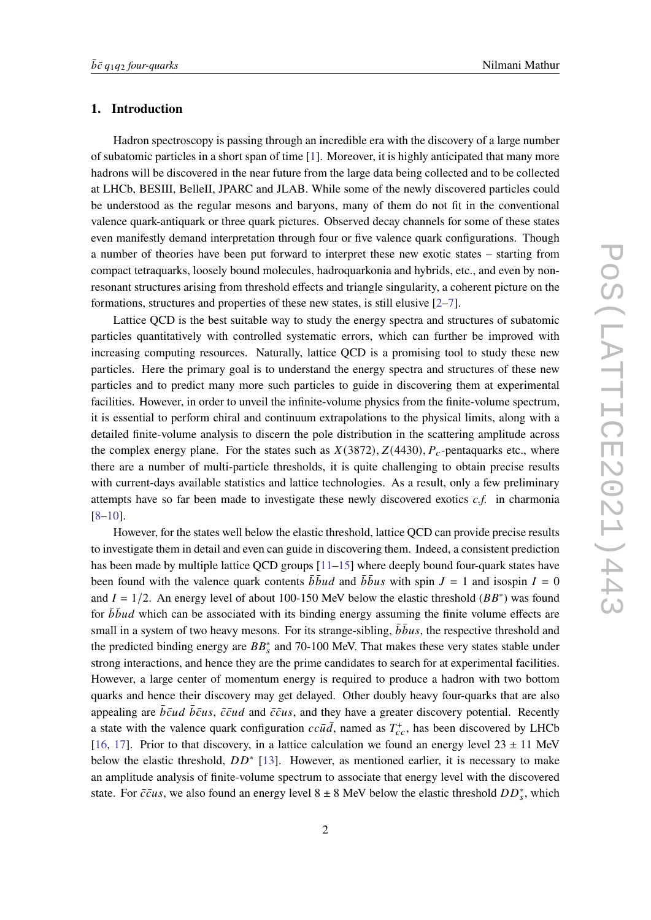## **1. Introduction**

Hadron spectroscopy is passing through an incredible era with the discovery of a large number of subatomic particles in a short span of time [\[1\]](#page-7-0). Moreover, it is highly anticipated that many more hadrons will be discovered in the near future from the large data being collected and to be collected at LHCb, BESIII, BelleII, JPARC and JLAB. While some of the newly discovered particles could be understood as the regular mesons and baryons, many of them do not fit in the conventional valence quark-antiquark or three quark pictures. Observed decay channels for some of these states even manifestly demand interpretation through four or five valence quark configurations. Though a number of theories have been put forward to interpret these new exotic states – starting from compact tetraquarks, loosely bound molecules, hadroquarkonia and hybrids, etc., and even by nonresonant structures arising from threshold effects and triangle singularity, a coherent picture on the formations, structures and properties of these new states, is still elusive [\[2](#page-7-1)[–7\]](#page-7-2).

Lattice QCD is the best suitable way to study the energy spectra and structures of subatomic particles quantitatively with controlled systematic errors, which can further be improved with increasing computing resources. Naturally, lattice QCD is a promising tool to study these new particles. Here the primary goal is to understand the energy spectra and structures of these new particles and to predict many more such particles to guide in discovering them at experimental facilities. However, in order to unveil the infinite-volume physics from the finite-volume spectrum, it is essential to perform chiral and continuum extrapolations to the physical limits, along with a detailed finite-volume analysis to discern the pole distribution in the scattering amplitude across the complex energy plane. For the states such as  $X(3872)$ ,  $Z(4430)$ ,  $P_c$ -pentaquarks etc., where there are a number of multi-particle thresholds, it is quite challenging to obtain precise results with current-days available statistics and lattice technologies. As a result, only a few preliminary attempts have so far been made to investigate these newly discovered exotics *c.f.* in charmonia [\[8](#page-8-0)[–10\]](#page-8-1).

However, for the states well below the elastic threshold, lattice QCD can provide precise results to investigate them in detail and even can guide in discovering them. Indeed, a consistent prediction has been made by multiple lattice QCD groups [\[11](#page-8-2)[–15\]](#page-8-3) where deeply bound four-quark states have been found with the valence quark contents  $\bar{b} \bar{b} u d$  and  $\bar{b} \bar{b} u s$  with spin  $J = 1$  and isospin  $I = 0$ and  $I = 1/2$ . An energy level of about 100-150 MeV below the elastic threshold ( $BB^*$ ) was found for  $\bar{b} \bar{b} u d$  which can be associated with its binding energy assuming the finite volume effects are small in a system of two heavy mesons. For its strange-sibling,  $\overline{b} \overline{b} u s$ , the respective threshold and the predicted binding energy are  $BB_s^*$  and 70-100 MeV. That makes these very states stable under strong interactions, and hence they are the prime candidates to search for at experimental facilities. However, a large center of momentum energy is required to produce a hadron with two bottom quarks and hence their discovery may get delayed. Other doubly heavy four-quarks that are also appealing are  $\bar{b}\bar{c}u\bar{d}$   $\bar{b}\bar{c}u\bar{s}$ ,  $\bar{c}\bar{c}u\bar{d}$  and  $\bar{c}\bar{c}u\bar{s}$ , and they have a greater discovery potential. Recently a state with the valence quark configuration  $cc\bar{u}\bar{d}$ , named as  $T_{cc}^+$ , has been discovered by LHCb [\[16,](#page-8-4) [17\]](#page-8-5). Prior to that discovery, in a lattice calculation we found an energy level  $23 \pm 11$  MeV below the elastic threshold,  $DD^*$  [\[13\]](#page-8-6). However, as mentioned earlier, it is necessary to make an amplitude analysis of finite-volume spectrum to associate that energy level with the discovered state. For  $\bar{c} \bar{c} u s$ , we also found an energy level 8 ± 8 MeV below the elastic threshold  $DD_s^*$ , which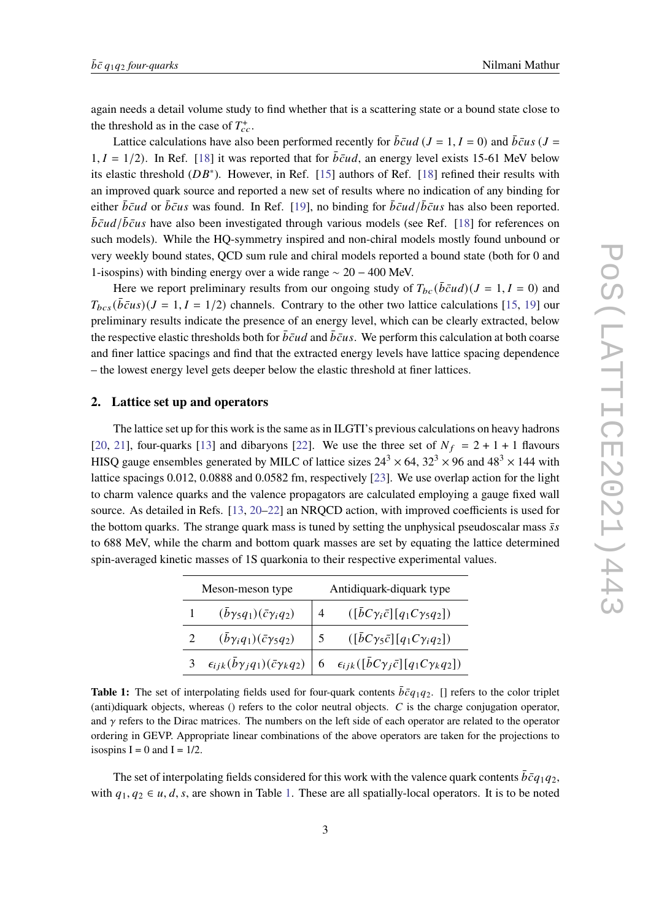again needs a detail volume study to find whether that is a scattering state or a bound state close to the threshold as in the case of  $T_{cc}^+$ .

Lattice calculations have also been performed recently for  $\bar{b}\bar{c}ud$  ( $J = 1, I = 0$ ) and  $\bar{b}\bar{c}us$  ( $J =$  $1, I = 1/2$ ). In Ref. [\[18\]](#page-8-7) it was reported that for  $\overline{bc}ud$ , an energy level exists 15-61 MeV below its elastic threshold  $(DB^*)$ . However, in Ref. [\[15\]](#page-8-3) authors of Ref. [\[18\]](#page-8-7) refined their results with an improved quark source and reported a new set of results where no indication of any binding for either  $\bar{b}\bar{c}u$  or  $\bar{b}\bar{c}u s$  was found. In Ref. [\[19\]](#page-8-8), no binding for  $\bar{b}\bar{c}u d/\bar{b}\bar{c}u s$  has also been reported.  $\bar{b}\bar{c}ud/\bar{b}\bar{c}us$  have also been investigated through various models (see Ref. [\[18\]](#page-8-7) for references on such models). While the HQ-symmetry inspired and non-chiral models mostly found unbound or very weekly bound states, QCD sum rule and chiral models reported a bound state (both for 0 and 1-isospins) with binding energy over a wide range ∼ 20 − 400 MeV.

Here we report preliminary results from our ongoing study of  $T_{bc}(\bar{bc}ud)(J = 1, I = 0)$  and  $T_{bcs}(\bar{b}\bar{c}us)(J = 1, I = 1/2)$  channels. Contrary to the other two lattice calculations [\[15,](#page-8-3) [19\]](#page-8-8) our preliminary results indicate the presence of an energy level, which can be clearly extracted, below the respective elastic thresholds both for  $\bar{b}\bar{c}ud$  and  $\bar{b}\bar{c}us$ . We perform this calculation at both coarse and finer lattice spacings and find that the extracted energy levels have lattice spacing dependence – the lowest energy level gets deeper below the elastic threshold at finer lattices.

# **2. Lattice set up and operators**

The lattice set up for this work is the same as in ILGTI's previous calculations on heavy hadrons [\[20,](#page-8-9) [21\]](#page-8-10), four-quarks [\[13\]](#page-8-6) and dibaryons [\[22\]](#page-8-11). We use the three set of  $N_f = 2 + 1 + 1$  flavours HISQ gauge ensembles generated by MILC of lattice sizes  $24^3 \times 64$ ,  $32^3 \times 96$  and  $48^3 \times 144$  with lattice spacings 0.012, 0.0888 and 0.0582 fm, respectively [\[23\]](#page-8-12). We use overlap action for the light to charm valence quarks and the valence propagators are calculated employing a gauge fixed wall source. As detailed in Refs. [\[13,](#page-8-6) [20](#page-8-9)[–22\]](#page-8-11) an NRQCD action, with improved coefficients is used for the bottom quarks. The strange quark mass is tuned by setting the unphysical pseudoscalar mass  $\bar{s}s$ to 688 MeV, while the charm and bottom quark masses are set by equating the lattice determined spin-averaged kinetic masses of 1S quarkonia to their respective experimental values.

<span id="page-2-0"></span>

| Meson-meson type |                                              | Antidiquark-diquark type |                                                                                                                             |
|------------------|----------------------------------------------|--------------------------|-----------------------------------------------------------------------------------------------------------------------------|
|                  | $(\bar{b}\gamma_5 q_1)(\bar{c}\gamma_i q_2)$ |                          | $([\bar{b}C\gamma_i\bar{c}][q_1C\gamma_5q_2])$                                                                              |
|                  | $(\bar{b}\gamma_iq_1)(\bar{c}\gamma_5q_2)$   |                          | $([\bar{b}C\gamma_5\bar{c}][q_1C\gamma_iq_2])$                                                                              |
| $\mathbf{3}$     |                                              |                          | $\epsilon_{ijk}(\bar{b}\gamma_j q_1)(\bar{c}\gamma_k q_2)$ 6 $\epsilon_{ijk}([\bar{b}C\gamma_j \bar{c}][q_1C\gamma_k q_2])$ |

**Table 1:** The set of interpolating fields used for four-quark contents  $\bar{b}\bar{c}q_1q_2$ . [] refers to the color triplet (anti)diquark objects, whereas () refers to the color neutral objects.  $C$  is the charge conjugation operator, and  $\gamma$  refers to the Dirac matrices. The numbers on the left side of each operator are related to the operator ordering in GEVP. Appropriate linear combinations of the above operators are taken for the projections to isospins  $I = 0$  and  $I = 1/2$ .

The set of interpolating fields considered for this work with the valence quark contents  $\bar{b}\bar{c}q_1q_2$ , with  $q_1, q_2 \in u, d, s$ , are shown in Table [1.](#page-2-0) These are all spatially-local operators. It is to be noted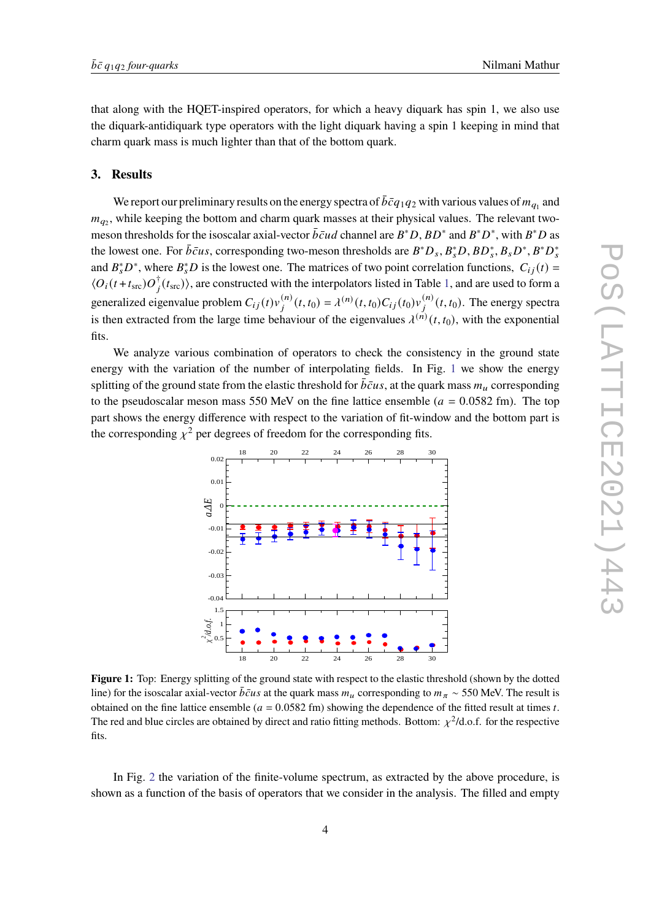that along with the HQET-inspired operators, for which a heavy diquark has spin 1, we also use the diquark-antidiquark type operators with the light diquark having a spin 1 keeping in mind that charm quark mass is much lighter than that of the bottom quark.

#### **3. Results**

We report our preliminary results on the energy spectra of  $\bar{b}\bar{c}q_1q_2$  with various values of  $m_{q_1}$  and  $m_{q_2}$ , while keeping the bottom and charm quark masses at their physical values. The relevant twomeson thresholds for the isoscalar axial-vector  $\overline{b} \overline{c} u d$  channel are  $B^* D$ ,  $BD^*$  and  $B^* D^*$ , with  $B^* D$  as the lowest one. For  $\bar{b}\bar{c}us$ , corresponding two-meson thresholds are  $B^*D_s$ ,  $B_s^*D$ ,  $BD_s^*$ ,  $B_sD^*$ ,  $B^*D_s^*$ and  $B_s^*D^*$ , where  $B_s^*D$  is the lowest one. The matrices of two point correlation functions,  $C_{ij}(t)$  =  $\langle O_i(t+t_{\rm src})O_j^{\dagger}(t_{\rm src})\rangle$ , are constructed with the interpolators listed in Table [1,](#page-2-0) and are used to form a generalized eigenvalue problem  $C_{ij}(t)v_j^{(n)}(t,t_0) = \lambda^{(n)}(t,t_0)C_{ij}(t_0)v_j^{(n)}(t,t_0)$ . The energy spectra is then extracted from the large time behaviour of the eigenvalues  $\lambda^{(n)}(t, t_0)$ , with the exponential fits.

<span id="page-3-0"></span>We analyze various combination of operators to check the consistency in the ground state energy with the variation of the number of interpolating fields. In Fig. [1](#page-3-0) we show the energy splitting of the ground state from the elastic threshold for  $\bar{b}\bar{c}us$ , at the quark mass  $m_u$  corresponding to the pseudoscalar meson mass 550 MeV on the fine lattice ensemble ( $a = 0.0582$  fm). The top part shows the energy difference with respect to the variation of fit-window and the bottom part is the corresponding  $y^2$  per degrees of freedom for the corresponding fits.



**Figure 1:** Top: Energy splitting of the ground state with respect to the elastic threshold (shown by the dotted line) for the isoscalar axial-vector  $\bar{b}\bar{c}us$  at the quark mass  $m_{\mu}$  corresponding to  $m_{\pi} \sim 550$  MeV. The result is obtained on the fine lattice ensemble ( $a = 0.0582$  fm) showing the dependence of the fitted result at times t. The red and blue circles are obtained by direct and ratio fitting methods. Bottom:  $\chi^2$ /d.o.f. for the respective fits.

In Fig. [2](#page-4-0) the variation of the finite-volume spectrum, as extracted by the above procedure, is shown as a function of the basis of operators that we consider in the analysis. The filled and empty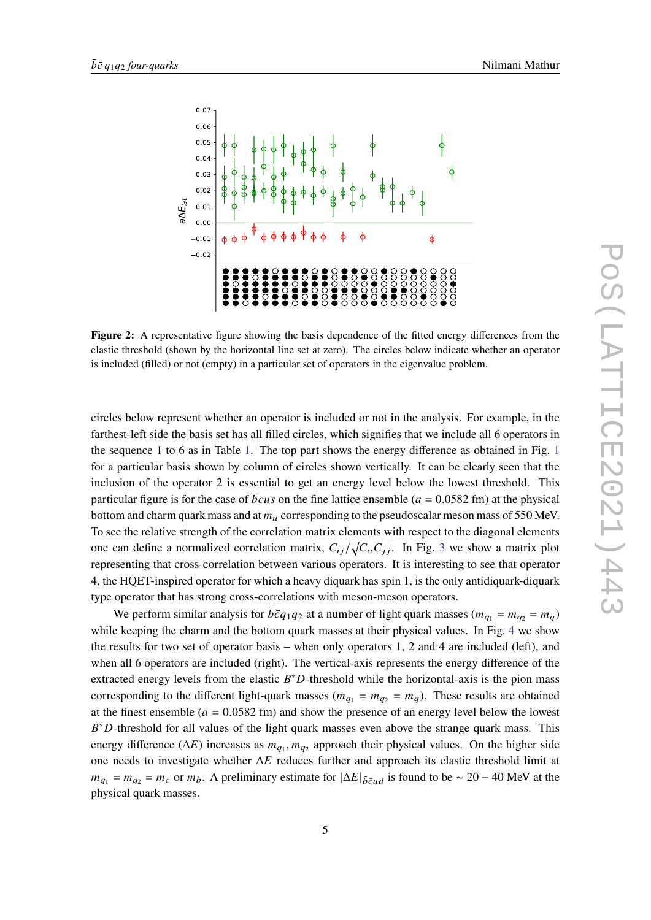<span id="page-4-0"></span>

**Figure 2:** A representative figure showing the basis dependence of the fitted energy differences from the elastic threshold (shown by the horizontal line set at zero). The circles below indicate whether an operator is included (filled) or not (empty) in a particular set of operators in the eigenvalue problem.

circles below represent whether an operator is included or not in the analysis. For example, in the farthest-left side the basis set has all filled circles, which signifies that we include all 6 operators in the sequence 1 to 6 as in Table [1.](#page-2-0) The top part shows the energy difference as obtained in Fig. [1](#page-3-0) for a particular basis shown by column of circles shown vertically. It can be clearly seen that the inclusion of the operator 2 is essential to get an energy level below the lowest threshold. This particular figure is for the case of  $\bar{bc}u\bar{s}$  on the fine lattice ensemble ( $a = 0.0582$  fm) at the physical bottom and charm quark mass and at  $m<sub>u</sub>$  corresponding to the pseudoscalar meson mass of 550 MeV. To see the relative strength of the correlation matrix elements with respect to the diagonal elements one can define a normalized correlation matrix,  $C_{ii}/\sqrt{C_{ii}C_{jj}}$ . In Fig. [3](#page-5-0) we show a matrix plot representing that cross-correlation between various operators. It is interesting to see that operator 4, the HQET-inspired operator for which a heavy diquark has spin 1, is the only antidiquark-diquark type operator that has strong cross-correlations with meson-meson operators.

We perform similar analysis for  $\bar{b}\bar{c}q_1q_2$  at a number of light quark masses  $(m_{q_1} = m_{q_2} = m_q)$ while keeping the charm and the bottom quark masses at their physical values. In Fig. [4](#page-5-1) we show the results for two set of operator basis – when only operators 1, 2 and 4 are included (left), and when all 6 operators are included (right). The vertical-axis represents the energy difference of the extracted energy levels from the elastic  $B^*D$ -threshold while the horizontal-axis is the pion mass corresponding to the different light-quark masses ( $m_{q_1} = m_{q_2} = m_q$ ). These results are obtained at the finest ensemble ( $a = 0.0582$  fm) and show the presence of an energy level below the lowest  $B^*D$ -threshold for all values of the light quark masses even above the strange quark mass. This energy difference ( $\Delta E$ ) increases as  $m_{q_1}, m_{q_2}$  approach their physical values. On the higher side one needs to investigate whether  $\Delta E$  reduces further and approach its elastic threshold limit at  $m_{q_1} = m_{q_2} = m_c$  or  $m_b$ . A preliminary estimate for  $|\Delta E|_{\bar{b} \bar{c} u d}$  is found to be ~ 20 – 40 MeV at the physical quark masses.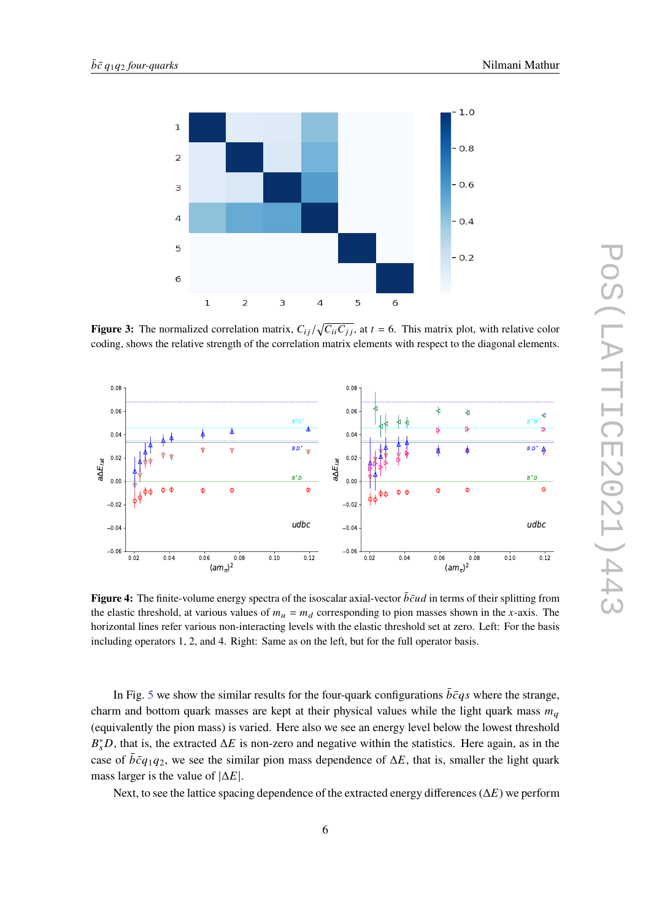<span id="page-5-0"></span>

**Figure 3:** The normalized correlation matrix,  $C_{ij}/\sqrt{C_{ii}C_{jj}}$ , at  $t = 6$ . This matrix plot, with relative color coding, shows the relative strength of the correlation matrix elements with respect to the diagonal elements.

<span id="page-5-1"></span>

**Figure 4:** The finite-volume energy spectra of the isoscalar axial-vector  $\bar{b}\bar{c}ud$  in terms of their splitting from the elastic threshold, at various values of  $m_u = m_d$  corresponding to pion masses shown in the x-axis. The horizontal lines refer various non-interacting levels with the elastic threshold set at zero. Left: For the basis including operators 1, 2, and 4. Right: Same as on the left, but for the full operator basis.

In Fig. [5](#page-6-0) we show the similar results for the four-quark configurations  $\bar{b}\bar{c}q\bar{s}$  where the strange, charm and bottom quark masses are kept at their physical values while the light quark mass  $m_a$ (equivalently the pion mass) is varied. Here also we see an energy level below the lowest threshold  $B_s^*D$ , that is, the extracted  $\Delta E$  is non-zero and negative within the statistics. Here again, as in the case of  $\bar{b}\bar{c}q_1q_2$ , we see the similar pion mass dependence of  $\Delta E$ , that is, smaller the light quark mass larger is the value of  $|\Delta E|$ .

Next, to see the lattice spacing dependence of the extracted energy differences ( $\Delta E$ ) we perform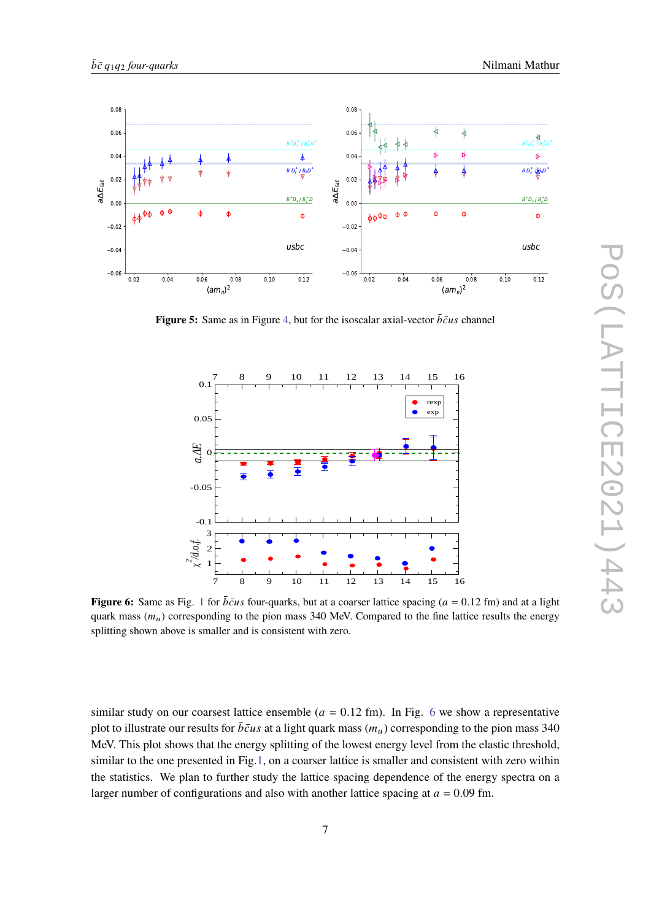<span id="page-6-0"></span>

<span id="page-6-1"></span>**Figure 5:** Same as in Figure [4,](#page-5-1) but for the isoscalar axial-vector  $\bar{b}\bar{c}u s$  channel



**Figure 6:** Same as Fig. [1](#page-3-0) for  $\bar{b}\bar{c}us$  four-quarks, but at a coarser lattice spacing ( $a = 0.12$  fm) and at a light quark mass  $(m_u)$  corresponding to the pion mass 340 MeV. Compared to the fine lattice results the energy splitting shown above is smaller and is consistent with zero.

similar study on our coarsest lattice ensemble ( $a = 0.12$  fm). In Fig. [6](#page-6-1) we show a representative plot to illustrate our results for  $\bar{b}\bar{c}u\bar{s}$  at a light quark mass  $(m_u)$  corresponding to the pion mass 340 MeV. This plot shows that the energy splitting of the lowest energy level from the elastic threshold, similar to the one presented in Fig[.1,](#page-3-0) on a coarser lattice is smaller and consistent with zero within the statistics. We plan to further study the lattice spacing dependence of the energy spectra on a larger number of configurations and also with another lattice spacing at  $a = 0.09$  fm.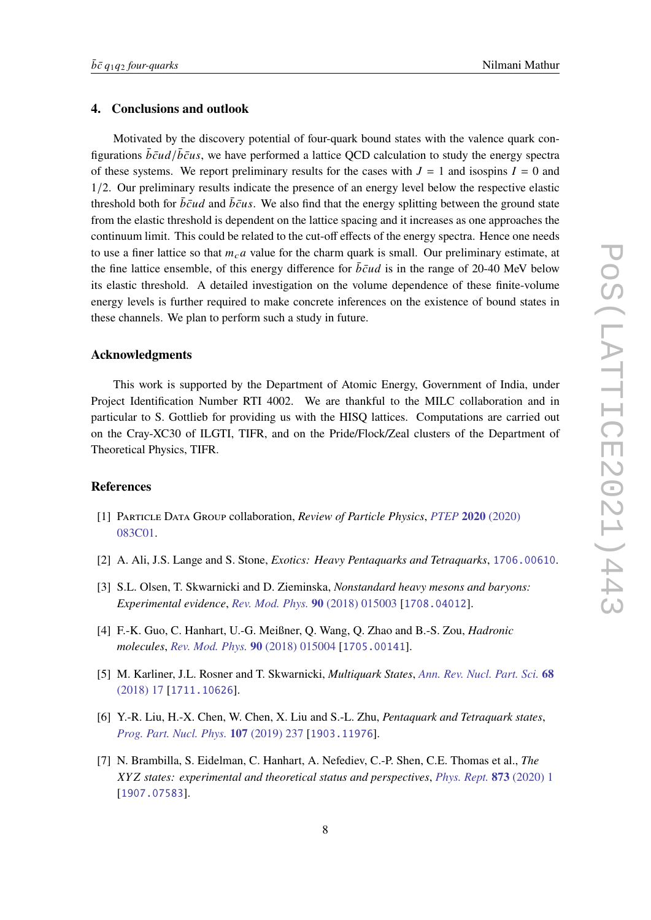# **4. Conclusions and outlook**

Motivated by the discovery potential of four-quark bound states with the valence quark configurations  $\bar{b}\bar{c}ud/\bar{b}\bar{c}us$ , we have performed a lattice QCD calculation to study the energy spectra of these systems. We report preliminary results for the cases with  $J = 1$  and isospins  $I = 0$  and 1/2. Our preliminary results indicate the presence of an energy level below the respective elastic threshold both for  $\bar{b}\bar{c}ud$  and  $\bar{b}\bar{c}us$ . We also find that the energy splitting between the ground state from the elastic threshold is dependent on the lattice spacing and it increases as one approaches the continuum limit. This could be related to the cut-off effects of the energy spectra. Hence one needs to use a finer lattice so that  $m<sub>c</sub>a$  value for the charm quark is small. Our preliminary estimate, at the fine lattice ensemble, of this energy difference for  $\bar{b}\bar{c}ud$  is in the range of 20-40 MeV below its elastic threshold. A detailed investigation on the volume dependence of these finite-volume energy levels is further required to make concrete inferences on the existence of bound states in these channels. We plan to perform such a study in future.

## **Acknowledgments**

This work is supported by the Department of Atomic Energy, Government of India, under Project Identification Number RTI 4002. We are thankful to the MILC collaboration and in particular to S. Gottlieb for providing us with the HISQ lattices. Computations are carried out on the Cray-XC30 of ILGTI, TIFR, and on the Pride/Flock/Zeal clusters of the Department of Theoretical Physics, TIFR.

## **References**

- <span id="page-7-0"></span>[1] Particle Data Group collaboration, *Review of Particle Physics*, *[PTEP](https://doi.org/10.1093/ptep/ptaa104)* **2020** (2020) [083C01.](https://doi.org/10.1093/ptep/ptaa104)
- <span id="page-7-1"></span>[2] A. Ali, J.S. Lange and S. Stone, *Exotics: Heavy Pentaquarks and Tetraquarks*, [1706.00610](https://arxiv.org/abs/1706.00610).
- [3] S.L. Olsen, T. Skwarnicki and D. Zieminska, *Nonstandard heavy mesons and baryons: Experimental evidence*, *[Rev. Mod. Phys.](https://doi.org/10.1103/RevModPhys.90.015003)* **90** (2018) 015003 [[1708.04012](https://arxiv.org/abs/1708.04012)].
- [4] F.-K. Guo, C. Hanhart, U.-G. Meißner, Q. Wang, Q. Zhao and B.-S. Zou, *Hadronic molecules*, *[Rev. Mod. Phys.](https://doi.org/10.1103/RevModPhys.90.015004)* **90** (2018) 015004 [[1705.00141](https://arxiv.org/abs/1705.00141)].
- [5] M. Karliner, J.L. Rosner and T. Skwarnicki, *Multiquark States*, *[Ann. Rev. Nucl. Part. Sci.](https://doi.org/10.1146/annurev-nucl-101917-020902)* **68** [\(2018\) 17](https://doi.org/10.1146/annurev-nucl-101917-020902) [[1711.10626](https://arxiv.org/abs/1711.10626)].
- [6] Y.-R. Liu, H.-X. Chen, W. Chen, X. Liu and S.-L. Zhu, *Pentaquark and Tetraquark states*, *[Prog. Part. Nucl. Phys.](https://doi.org/10.1016/j.ppnp.2019.04.003)* **107** (2019) 237 [[1903.11976](https://arxiv.org/abs/1903.11976)].
- <span id="page-7-2"></span>[7] N. Brambilla, S. Eidelman, C. Hanhart, A. Nefediev, C.-P. Shen, C.E. Thomas et al., *The states: experimental and theoretical status and perspectives*, *[Phys. Rept.](https://doi.org/10.1016/j.physrep.2020.05.001)* **873** (2020) 1 [[1907.07583](https://arxiv.org/abs/1907.07583)].